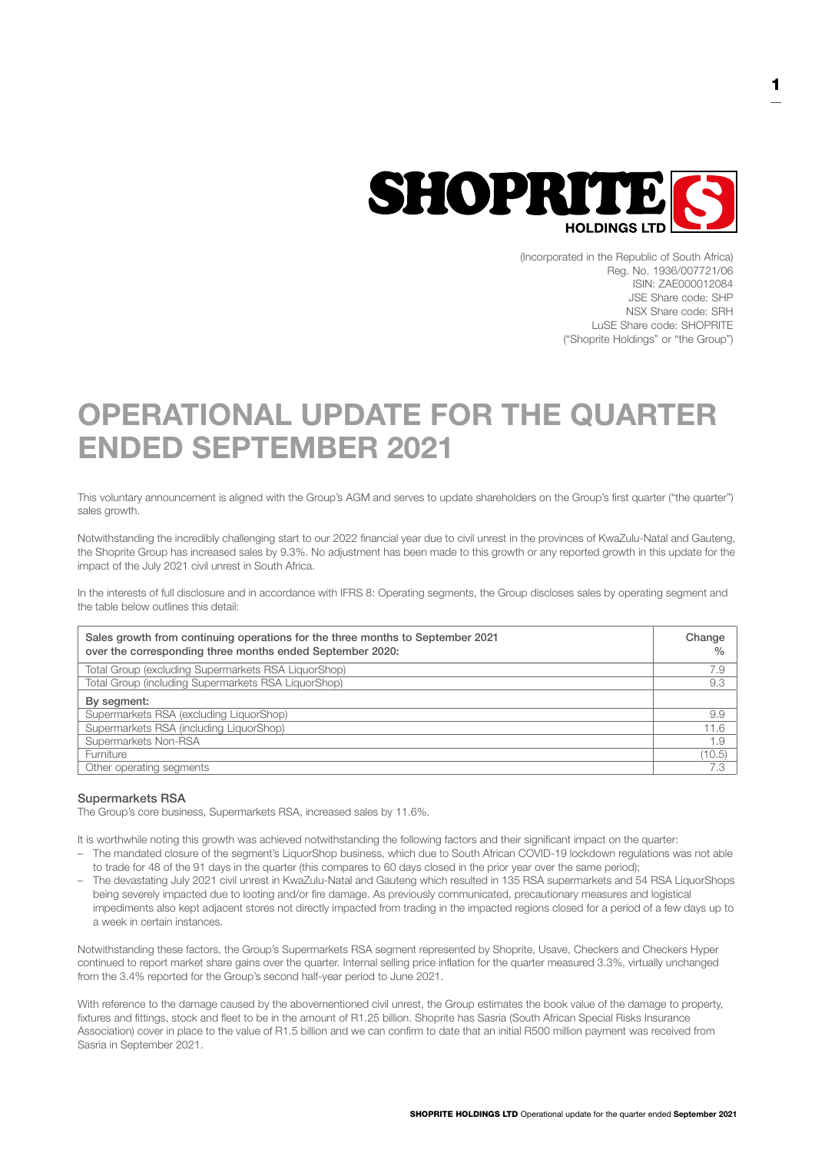

(Incorporated in the Republic of South Africa) Reg. No. 1936/007721/06 ISIN: ZAE000012084 JSE Share code: SHP NSX Share code: SRH LuSE Share code: SHOPRITE ("Shoprite Holdings" or "the Group")

# OPERATIONAL UPDATE FOR THE QUARTER ENDED SEPTEMBER 2021

This voluntary announcement is aligned with the Group's AGM and serves to update shareholders on the Group's first quarter ("the quarter") sales growth.

Notwithstanding the incredibly challenging start to our 2022 financial year due to civil unrest in the provinces of KwaZulu-Natal and Gauteng, the Shoprite Group has increased sales by 9.3%. No adjustment has been made to this growth or any reported growth in this update for the impact of the July 2021 civil unrest in South Africa.

In the interests of full disclosure and in accordance with IFRS 8: Operating segments, the Group discloses sales by operating segment and the table below outlines this detail:

| Sales growth from continuing operations for the three months to September 2021<br>over the corresponding three months ended September 2020: | Change<br>$\frac{0}{0}$ |
|---------------------------------------------------------------------------------------------------------------------------------------------|-------------------------|
| Total Group (excluding Supermarkets RSA LiguorShop)                                                                                         | 7.9                     |
| Total Group (including Supermarkets RSA LiquorShop)                                                                                         | 9.3                     |
| By segment:                                                                                                                                 |                         |
| Supermarkets RSA (excluding LiquorShop)                                                                                                     | 9.9                     |
| Supermarkets RSA (including LiguorShop)                                                                                                     | 11.6                    |
| Supermarkets Non-RSA                                                                                                                        | 1.9                     |
| Furniture                                                                                                                                   | (10.5)                  |
| Other operating segments                                                                                                                    | 7.3                     |

# Supermarkets RSA

The Group's core business, Supermarkets RSA, increased sales by 11.6%.

It is worthwhile noting this growth was achieved notwithstanding the following factors and their significant impact on the quarter:

- The mandated closure of the segment's LiquorShop business, which due to South African COVID-19 lockdown regulations was not able to trade for 48 of the 91 days in the quarter (this compares to 60 days closed in the prior year over the same period);
- The devastating July 2021 civil unrest in KwaZulu-Natal and Gauteng which resulted in 135 RSA supermarkets and 54 RSA LiquorShops being severely impacted due to looting and/or fire damage. As previously communicated, precautionary measures and logistical impediments also kept adjacent stores not directly impacted from trading in the impacted regions closed for a period of a few days up to a week in certain instances.

Notwithstanding these factors, the Group's Supermarkets RSA segment represented by Shoprite, Usave, Checkers and Checkers Hyper continued to report market share gains over the quarter. Internal selling price inflation for the quarter measured 3.3%, virtually unchanged from the 3.4% reported for the Group's second half-year period to June 2021.

With reference to the damage caused by the abovementioned civil unrest, the Group estimates the book value of the damage to property, fixtures and fittings, stock and fleet to be in the amount of R1.25 billion. Shoprite has Sasria (South African Special Risks Insurance Association) cover in place to the value of R1.5 billion and we can confirm to date that an initial R500 million payment was received from Sasria in September 2021.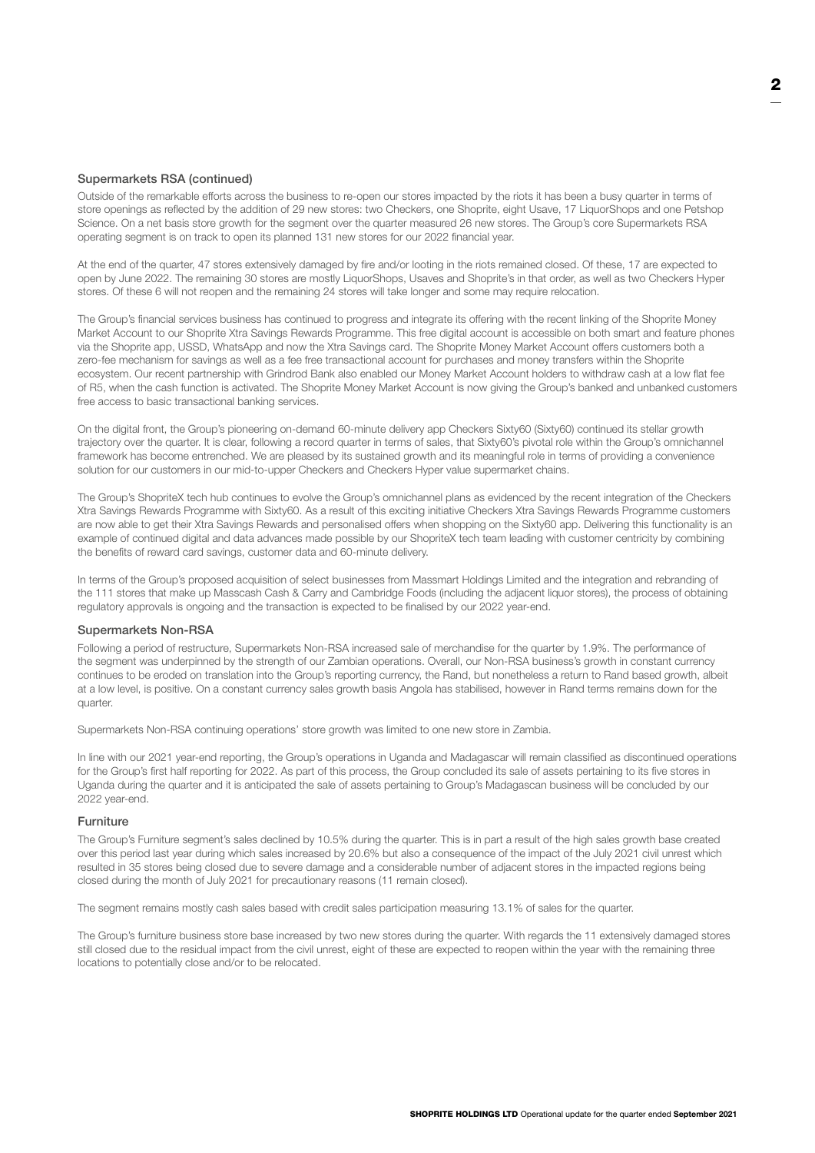# Supermarkets RSA (continued)

Outside of the remarkable efforts across the business to re-open our stores impacted by the riots it has been a busy quarter in terms of store openings as reflected by the addition of 29 new stores: two Checkers, one Shoprite, eight Usave, 17 LiquorShops and one Petshop Science. On a net basis store growth for the segment over the quarter measured 26 new stores. The Group's core Supermarkets RSA operating segment is on track to open its planned 131 new stores for our 2022 financial year.

At the end of the quarter, 47 stores extensively damaged by fire and/or looting in the riots remained closed. Of these, 17 are expected to open by June 2022. The remaining 30 stores are mostly LiquorShops, Usaves and Shoprite's in that order, as well as two Checkers Hyper stores. Of these 6 will not reopen and the remaining 24 stores will take longer and some may require relocation.

The Group's financial services business has continued to progress and integrate its offering with the recent linking of the Shoprite Money Market Account to our Shoprite Xtra Savings Rewards Programme. This free digital account is accessible on both smart and feature phones via the Shoprite app, USSD, WhatsApp and now the Xtra Savings card. The Shoprite Money Market Account offers customers both a zero-fee mechanism for savings as well as a fee free transactional account for purchases and money transfers within the Shoprite ecosystem. Our recent partnership with Grindrod Bank also enabled our Money Market Account holders to withdraw cash at a low flat fee of R5, when the cash function is activated. The Shoprite Money Market Account is now giving the Group's banked and unbanked customers free access to basic transactional banking services.

On the digital front, the Group's pioneering on-demand 60-minute delivery app Checkers Sixty60 (Sixty60) continued its stellar growth trajectory over the quarter. It is clear, following a record quarter in terms of sales, that Sixty60's pivotal role within the Group's omnichannel framework has become entrenched. We are pleased by its sustained growth and its meaningful role in terms of providing a convenience solution for our customers in our mid-to-upper Checkers and Checkers Hyper value supermarket chains.

The Group's ShopriteX tech hub continues to evolve the Group's omnichannel plans as evidenced by the recent integration of the Checkers Xtra Savings Rewards Programme with Sixty60. As a result of this exciting initiative Checkers Xtra Savings Rewards Programme customers are now able to get their Xtra Savings Rewards and personalised offers when shopping on the Sixty60 app. Delivering this functionality is an example of continued digital and data advances made possible by our ShopriteX tech team leading with customer centricity by combining the benefits of reward card savings, customer data and 60-minute delivery.

In terms of the Group's proposed acquisition of select businesses from Massmart Holdings Limited and the integration and rebranding of the 111 stores that make up Masscash Cash & Carry and Cambridge Foods (including the adjacent liquor stores), the process of obtaining regulatory approvals is ongoing and the transaction is expected to be finalised by our 2022 year-end.

# Supermarkets Non-RSA

Following a period of restructure, Supermarkets Non-RSA increased sale of merchandise for the quarter by 1.9%. The performance of the segment was underpinned by the strength of our Zambian operations. Overall, our Non-RSA business's growth in constant currency continues to be eroded on translation into the Group's reporting currency, the Rand, but nonetheless a return to Rand based growth, albeit at a low level, is positive. On a constant currency sales growth basis Angola has stabilised, however in Rand terms remains down for the quarter.

Supermarkets Non-RSA continuing operations' store growth was limited to one new store in Zambia.

In line with our 2021 year-end reporting, the Group's operations in Uganda and Madagascar will remain classified as discontinued operations for the Group's first half reporting for 2022. As part of this process, the Group concluded its sale of assets pertaining to its five stores in Uganda during the quarter and it is anticipated the sale of assets pertaining to Group's Madagascan business will be concluded by our 2022 year-end.

#### Furniture

The Group's Furniture segment's sales declined by 10.5% during the quarter. This is in part a result of the high sales growth base created over this period last year during which sales increased by 20.6% but also a consequence of the impact of the July 2021 civil unrest which resulted in 35 stores being closed due to severe damage and a considerable number of adjacent stores in the impacted regions being closed during the month of July 2021 for precautionary reasons (11 remain closed).

The segment remains mostly cash sales based with credit sales participation measuring 13.1% of sales for the quarter.

The Group's furniture business store base increased by two new stores during the quarter. With regards the 11 extensively damaged stores still closed due to the residual impact from the civil unrest, eight of these are expected to reopen within the year with the remaining three locations to potentially close and/or to be relocated.